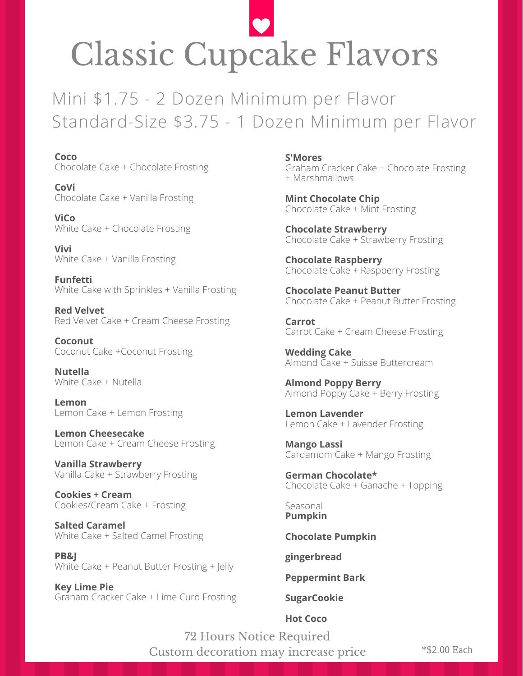## Classic Cupcake Flavors

Mini \$1.75 - 2 Dozen Minimum per Flavor Standard-Size \$3.75 - 1 Dozen Minimum per Flavor

**Coco** Chocolate Cake + Chocolate Frosting

**CoVi** Chocolate Cake + Vanilla Frosting

**ViCo** White Cake + Chocolate Frosting

**Vivi** White Cake + Vanilla Frosting

**Funfetti** White Cake with Sprinkles + Vanilla Frosting

**Red Velvet** Red Velvet Cake + Cream Cheese Frosting

**Coconut** Coconut Cake +Coconut Frosting

**Nutella** White Cake + Nutella

**Lemon** Lemon Cake + Lemon Frosting

**Lemon Cheesecake** Lemon Cake + Cream Cheese Frosting

**Vanilla Strawberry** Vanilla Cake + Strawberry Frosting

**Cookies + Cream** Cookies/Cream Cake + Frosting

**Salted Caramel** White Cake + Salted Camel Frosting

**PB&J** White Cake + Peanut Butter Frosting + Jelly

**Key Lime Pie** Graham Cracker Cake + Lime Curd Frosting **S'Mores** Graham Cracker Cake + Chocolate Frosting + Marshmallows

**Mint Chocolate Chip** Chocolate Cake + Mint Frosting

**Chocolate Strawberry** Chocolate Cake + Strawberry Frosting

**Chocolate Raspberry** Chocolate Cake + Raspberry Frosting

**Chocolate Peanut Butter** Chocolate Cake + Peanut Butter Frosting

**Carrot** Carrot Cake + Cream Cheese Frosting

**Wedding Cake** Almond Cake + Suisse Buttercream

**Almond Poppy Berry** Almond Poppy Cake + Berry Frosting

**Lemon Lavender** Lemon Cake + Lavender Frosting

**Mango Lassi** Cardamom Cake + Mango Frosting

**German Chocolate\*** Chocolate Cake + Ganache + Topping

Seasonal **Pumpkin**

**Chocolate Pumpkin**

**gingerbread**

**Peppermint Bark**

## **SugarCookie**

**Hot Coco**

72 Hours Notice Required Custom decoration may increase price

\*\$2.00 Each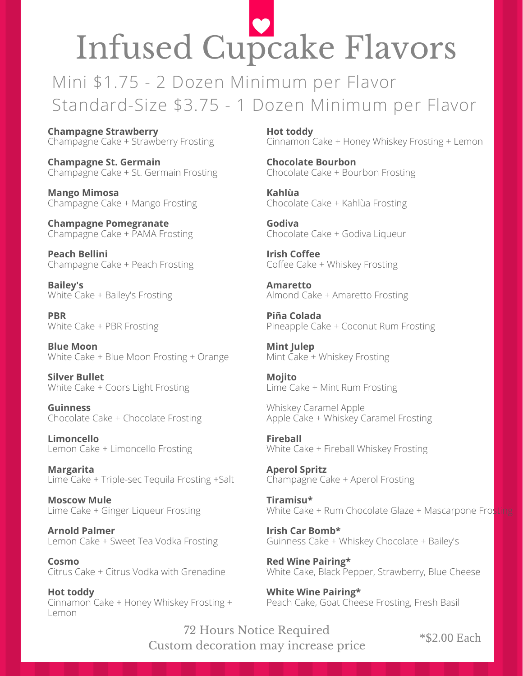## Infused Cupcake Flavors

Mini \$1.75 - 2 Dozen Minimum per Flavor Standard-Size \$3.75 - 1 Dozen Minimum per Flavor

**Champagne Strawberry** Champagne Cake + Strawberry Frosting

**Champagne St. Germain** Champagne Cake + St. Germain Frosting

**Mango Mimosa** Champagne Cake + Mango Frosting

**Champagne Pomegranate** Champagne Cake + PAMA Frosting

**Peach Bellini** Champagne Cake + Peach Frosting

**Bailey's** White Cake + Bailey's Frosting

**PBR** White Cake + PBR Frosting

**Blue Moon** White Cake + Blue Moon Frosting + Orange

**Silver Bullet** White Cake + Coors Light Frosting

**Guinness** Chocolate Cake + Chocolate Frosting

**Limoncello** Lemon Cake + Limoncello Frosting

**Margarita** Lime Cake + Triple-sec Tequila Frosting +Salt

**Moscow Mule** Lime Cake + Ginger Liqueur Frosting

**Arnold Palmer** Lemon Cake + Sweet Tea Vodka Frosting

**Cosmo** Citrus Cake + Citrus Vodka with Grenadine

**Hot toddy** Cinnamon Cake + Honey Whiskey Frosting + Lemon

**Hot toddy** Cinnamon Cake + Honey Whiskey Frosting + Lemon

**Chocolate Bourbon** Chocolate Cake + Bourbon Frosting

**Kahlùa** Chocolate Cake + Kahlùa Frosting

**Godiva** Chocolate Cake + Godiva Liqueur

**Irish Coffee** Coffee Cake + Whiskey Frosting

**Amaretto** Almond Cake + Amaretto Frosting

**Piña Colada** Pineapple Cake + Coconut Rum Frosting

**Mint Julep** Mint Cake + Whiskey Frosting

**Mojito** Lime Cake + Mint Rum Frosting

Whiskey Caramel Apple Apple Cake + Whiskey Caramel Frosting

**Fireball** White Cake + Fireball Whiskey Frosting

**Aperol Spritz** Champagne Cake + Aperol Frosting

**Tiramisu\*** White Cake + Rum Chocolate Glaze + Mascarpone Frosting

**Irish Car Bomb\*** Guinness Cake + Whiskey Chocolate + Bailey's

**Red Wine Pairing\*** White Cake, Black Pepper, Strawberry, Blue Cheese

**White Wine Pairing\*** Peach Cake, Goat Cheese Frosting, Fresh Basil

72 Hours Notice Required Custom decoration may increase price

\*\$2.00 Each